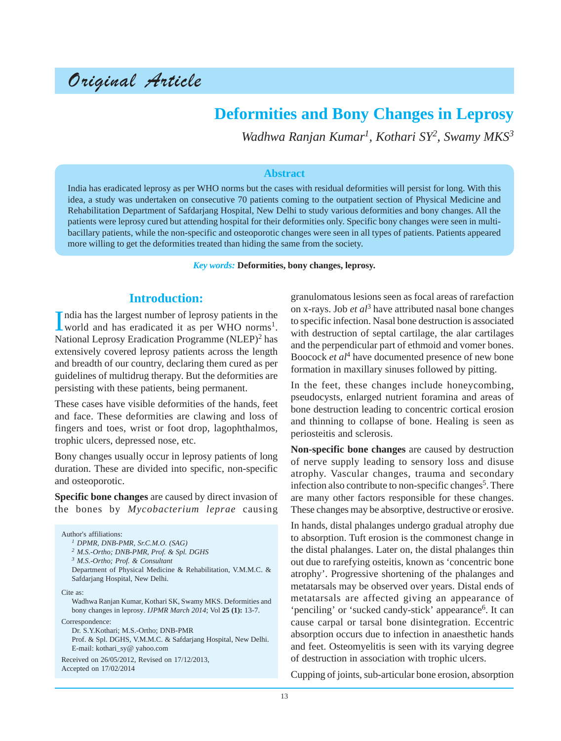# Original Article

# **Deformities and Bony Changes in Leprosy**

*Wadhwa Ranjan Kumar1, Kothari SY2, Swamy MKS3*

#### **Abstract**

India has eradicated leprosy as per WHO norms but the cases with residual deformities will persist for long. With this idea, a study was undertaken on consecutive 70 patients coming to the outpatient section of Physical Medicine and Rehabilitation Department of Safdarjang Hospital, New Delhi to study various deformities and bony changes. All the patients were leprosy cured but attending hospital for their deformities only. Specific bony changes were seen in multibacillary patients, while the non-specific and osteoporotic changes were seen in all types of patients. Patients appeared more willing to get the deformities treated than hiding the same from the society.

*Key words:* **Deformities, bony changes, leprosy.**

#### **Introduction:**

India has the largest number of leprosy patients in the world and has eradicated it as per WHO norms<sup>1</sup>. ndia has the largest number of leprosy patients in the National Leprosy Eradication Programme (NLEP)<sup>2</sup> has extensively covered leprosy patients across the length and breadth of our country, declaring them cured as per guidelines of multidrug therapy. But the deformities are persisting with these patients, being permanent.

These cases have visible deformities of the hands, feet and face. These deformities are clawing and loss of fingers and toes, wrist or foot drop, lagophthalmos, trophic ulcers, depressed nose, etc.

Bony changes usually occur in leprosy patients of long duration. These are divided into specific, non-specific and osteoporotic.

**Specific bone changes** are caused by direct invasion of the bones by *Mycobacterium leprae* causing

Author's affiliations: *<sup>1</sup> DPMR, DNB-PMR, Sr.C.M.O. (SAG) <sup>2</sup> M.S.-Ortho; DNB-PMR, Prof. & Spl. DGHS <sup>3</sup> M.S.-Ortho; Prof. & Consultant* Department of Physical Medicine & Rehabilitation, V.M.M.C. & Safdarjang Hospital, New Delhi. Cite as: Wadhwa Ranjan Kumar, Kothari SK, Swamy MKS. Deformities and bony changes in leprosy. *IJPMR March 2014*; Vol **25 (1):** 13-7. Correspondence: Dr. S.Y.Kothari; M.S.-Ortho; DNB-PMR Prof. & Spl. DGHS, V.M.M.C. & Safdarjang Hospital, New Delhi. E-mail: kothari\_sy@ yahoo.com Received on 26/05/2012, Revised on 17/12/2013, Accepted on 17/02/2014

granulomatous lesions seen as focal areas of rarefaction on x-rays. Job *et al*3 have attributed nasal bone changes to specific infection. Nasal bone destruction is associated with destruction of septal cartilage, the alar cartilages and the perpendicular part of ethmoid and vomer bones. Boocock *et al*4 have documented presence of new bone formation in maxillary sinuses followed by pitting.

In the feet, these changes include honeycombing, pseudocysts, enlarged nutrient foramina and areas of bone destruction leading to concentric cortical erosion and thinning to collapse of bone. Healing is seen as periosteitis and sclerosis.

**Non-specific bone changes** are caused by destruction of nerve supply leading to sensory loss and disuse atrophy. Vascular changes, trauma and secondary infection also contribute to non-specific changes<sup>5</sup>. There are many other factors responsible for these changes. These changes may be absorptive, destructive or erosive.

In hands, distal phalanges undergo gradual atrophy due to absorption. Tuft erosion is the commonest change in the distal phalanges. Later on, the distal phalanges thin out due to rarefying osteitis, known as 'concentric bone atrophy'. Progressive shortening of the phalanges and metatarsals may be observed over years. Distal ends of metatarsals are affected giving an appearance of 'penciling' or 'sucked candy-stick' appearance<sup>6</sup>. It can cause carpal or tarsal bone disintegration. Eccentric absorption occurs due to infection in anaesthetic hands and feet. Osteomyelitis is seen with its varying degree of destruction in association with trophic ulcers.

Cupping of joints, sub-articular bone erosion, absorption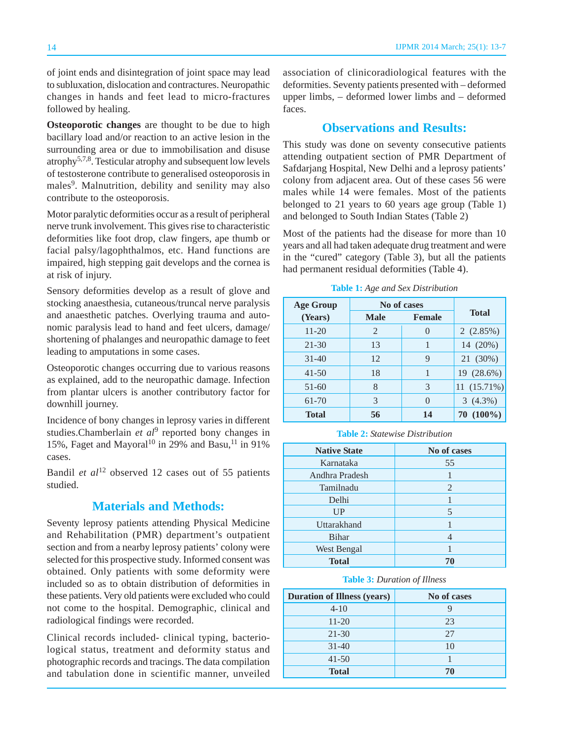of joint ends and disintegration of joint space may lead to subluxation, dislocation and contractures. Neuropathic changes in hands and feet lead to micro-fractures followed by healing.

**Osteoporotic changes** are thought to be due to high bacillary load and/or reaction to an active lesion in the surrounding area or due to immobilisation and disuse  $atrophy<sup>5,7,8</sup>$ . Testicular atrophy and subsequent low levels of testosterone contribute to generalised osteoporosis in males<sup>9</sup>. Malnutrition, debility and senility may also contribute to the osteoporosis.

Motor paralytic deformities occur as a result of peripheral nerve trunk involvement. This gives rise to characteristic deformities like foot drop, claw fingers, ape thumb or facial palsy/lagophthalmos, etc. Hand functions are impaired, high stepping gait develops and the cornea is at risk of injury.

Sensory deformities develop as a result of glove and stocking anaesthesia, cutaneous/truncal nerve paralysis and anaesthetic patches. Overlying trauma and autonomic paralysis lead to hand and feet ulcers, damage/ shortening of phalanges and neuropathic damage to feet leading to amputations in some cases.

Osteoporotic changes occurring due to various reasons as explained, add to the neuropathic damage. Infection from plantar ulcers is another contributory factor for downhill journey.

Incidence of bony changes in leprosy varies in different studies.Chamberlain *et al*<sup>9</sup> reported bony changes in 15%, Faget and Mayoral<sup>10</sup> in 29% and Basu,<sup>11</sup> in 91% cases.

Bandil *et al*12 observed 12 cases out of 55 patients studied.

### **Materials and Methods:**

Seventy leprosy patients attending Physical Medicine and Rehabilitation (PMR) department's outpatient section and from a nearby leprosy patients' colony were selected for this prospective study. Informed consent was obtained. Only patients with some deformity were included so as to obtain distribution of deformities in these patients. Very old patients were excluded who could not come to the hospital. Demographic, clinical and radiological findings were recorded.

Clinical records included- clinical typing, bacteriological status, treatment and deformity status and photographic records and tracings. The data compilation and tabulation done in scientific manner, unveiled association of clinicoradiological features with the deformities. Seventy patients presented with – deformed upper limbs, – deformed lower limbs and – deformed faces.

# **Observations and Results:**

This study was done on seventy consecutive patients attending outpatient section of PMR Department of Safdarjang Hospital, New Delhi and a leprosy patients' colony from adjacent area. Out of these cases 56 were males while 14 were females. Most of the patients belonged to 21 years to 60 years age group (Table 1) and belonged to South Indian States (Table 2)

Most of the patients had the disease for more than 10 years and all had taken adequate drug treatment and were in the "cured" category (Table 3), but all the patients had permanent residual deformities (Table 4).

| <b>Age Group</b> | No of cases    |               |                 |
|------------------|----------------|---------------|-----------------|
| (Years)          | <b>Male</b>    | <b>Female</b> | <b>Total</b>    |
| $11 - 20$        | $\overline{2}$ |               | 2(2.85%)        |
| $21 - 30$        | 13             | 1             | 14 (20%)        |
| $31 - 40$        | 12             | 9             | 21 (30%)        |
| $41 - 50$        | 18             | 1             | 19 (28.6%)      |
| $51 - 60$        | 8              | 3             | $11(15.71\%)$   |
| 61-70            | 3              | $\mathcal{O}$ | $3(4.3\%)$      |
| <b>Total</b>     | 56             | 14            | $(100\%)$<br>70 |

**Table 1:** *Age and Sex Distribution*

**Table 2:** *Statewise Distribution*

| <b>Native State</b> | No of cases |
|---------------------|-------------|
| Karnataka           | 55          |
| Andhra Pradesh      |             |
| Tamilnadu           | 2           |
| Delhi               |             |
| UP                  | 5           |
| Uttarakhand         |             |
| <b>Bihar</b>        |             |
| West Bengal         |             |
| <b>Total</b>        | 70          |

**Table 3:** *Duration of Illness*

| <b>Duration of Illness (years)</b> | No of cases |
|------------------------------------|-------------|
| $4 - 10$                           |             |
| $11-20$                            | 23          |
| $21 - 30$                          | 27          |
| $31 - 40$                          | 10          |
| $41 - 50$                          |             |
| <b>Total</b>                       | 70          |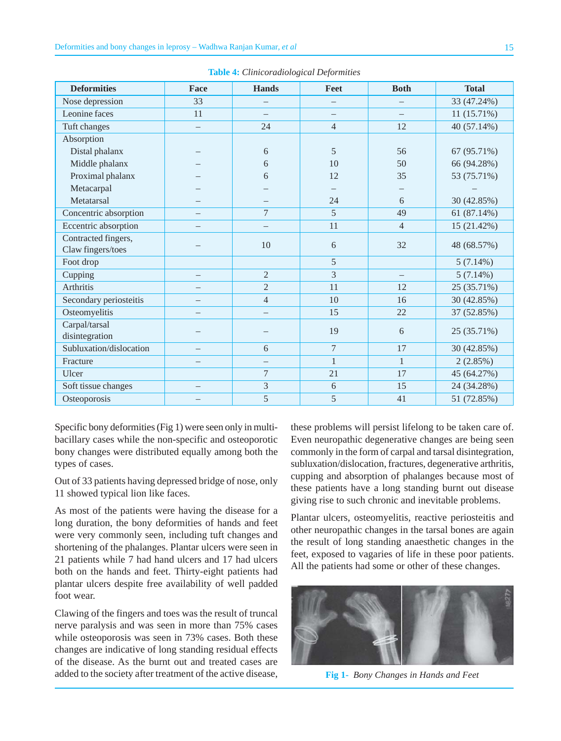| <b>Deformities</b>      | Face                     | <b>Hands</b>             | Feet           | <b>Both</b>    | <b>Total</b> |
|-------------------------|--------------------------|--------------------------|----------------|----------------|--------------|
| Nose depression         | 33                       |                          |                |                | 33 (47.24%)  |
| Leonine faces           | 11                       | $\overline{\phantom{0}}$ |                |                | 11(15.71%)   |
| Tuft changes            | $\overline{\phantom{0}}$ | 24                       | $\overline{4}$ | 12             | 40 (57.14%)  |
| Absorption              |                          |                          |                |                |              |
| Distal phalanx          |                          | 6                        | 5              | 56             | 67 (95.71%)  |
| Middle phalanx          |                          | 6                        | 10             | 50             | 66 (94.28%)  |
| Proximal phalanx        |                          | 6                        | 12             | 35             | 53 (75.71%)  |
| Metacarpal              |                          |                          |                |                |              |
| Metatarsal              |                          |                          | 24             | 6              | 30 (42.85%)  |
| Concentric absorption   |                          | 7                        | 5              | 49             | 61 (87.14%)  |
| Eccentric absorption    |                          |                          | 11             | $\overline{4}$ | 15 (21.42%)  |
| Contracted fingers,     |                          |                          |                |                |              |
| Claw fingers/toes       |                          | 10                       | 6              | 32             | 48 (68.57%)  |
| Foot drop               |                          |                          | 5              |                | $5(7.14\%)$  |
| Cupping                 |                          | $\overline{2}$           | 3              |                | $5(7.14\%)$  |
| Arthritis               |                          | $\overline{2}$           | 11             | 12             | 25 (35.71%)  |
| Secondary periosteitis  | $\overline{\phantom{0}}$ | $\overline{4}$           | 10             | 16             | 30 (42.85%)  |
| Osteomyelitis           |                          | $\overline{\phantom{0}}$ | 15             | 22             | 37 (52.85%)  |
| Carpal/tarsal           |                          |                          | 19             |                |              |
| disintegration          |                          |                          |                | 6              | 25 (35.71%)  |
| Subluxation/dislocation |                          | 6                        | $\overline{7}$ | 17             | 30 (42.85%)  |
| Fracture                |                          | -                        | $\mathbf{1}$   | $\mathbf{1}$   | 2(2.85%)     |
| Ulcer                   |                          | 7                        | 21             | 17             | 45 (64.27%)  |
| Soft tissue changes     |                          | 3                        | 6              | 15             | 24 (34.28%)  |
| Osteoporosis            |                          | 5                        | 5              | 41             | 51 (72.85%)  |

**Table 4:** *Clinicoradiological Deformities*

Specific bony deformities (Fig 1) were seen only in multibacillary cases while the non-specific and osteoporotic bony changes were distributed equally among both the types of cases.

Out of 33 patients having depressed bridge of nose, only 11 showed typical lion like faces.

As most of the patients were having the disease for a long duration, the bony deformities of hands and feet were very commonly seen, including tuft changes and shortening of the phalanges. Plantar ulcers were seen in 21 patients while 7 had hand ulcers and 17 had ulcers both on the hands and feet. Thirty-eight patients had plantar ulcers despite free availability of well padded foot wear.

Clawing of the fingers and toes was the result of truncal nerve paralysis and was seen in more than 75% cases while osteoporosis was seen in 73% cases. Both these changes are indicative of long standing residual effects of the disease. As the burnt out and treated cases are added to the society after treatment of the active disease,

these problems will persist lifelong to be taken care of. Even neuropathic degenerative changes are being seen commonly in the form of carpal and tarsal disintegration, subluxation/dislocation, fractures, degenerative arthritis, cupping and absorption of phalanges because most of these patients have a long standing burnt out disease giving rise to such chronic and inevitable problems.

Plantar ulcers, osteomyelitis, reactive periosteitis and other neuropathic changes in the tarsal bones are again the result of long standing anaesthetic changes in the feet, exposed to vagaries of life in these poor patients. All the patients had some or other of these changes.



**Fig 1-** *Bony Changes in Hands and Feet*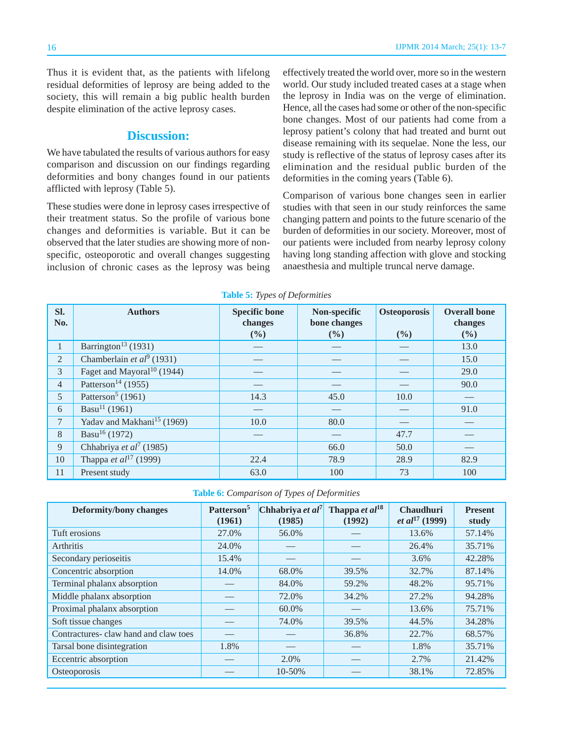Thus it is evident that, as the patients with lifelong residual deformities of leprosy are being added to the society, this will remain a big public health burden despite elimination of the active leprosy cases.

#### **Discussion:**

We have tabulated the results of various authors for easy comparison and discussion on our findings regarding deformities and bony changes found in our patients afflicted with leprosy (Table 5).

These studies were done in leprosy cases irrespective of their treatment status. So the profile of various bone changes and deformities is variable. But it can be observed that the later studies are showing more of nonspecific, osteoporotic and overall changes suggesting inclusion of chronic cases as the leprosy was being effectively treated the world over, more so in the western world. Our study included treated cases at a stage when the leprosy in India was on the verge of elimination. Hence, all the cases had some or other of the non-specific bone changes. Most of our patients had come from a leprosy patient's colony that had treated and burnt out disease remaining with its sequelae. None the less, our study is reflective of the status of leprosy cases after its elimination and the residual public burden of the deformities in the coming years (Table 6).

Comparison of various bone changes seen in earlier studies with that seen in our study reinforces the same changing pattern and points to the future scenario of the burden of deformities in our society. Moreover, most of our patients were included from nearby leprosy colony having long standing affection with glove and stocking anaesthesia and multiple truncal nerve damage.

| SI.<br>No.     | <b>Authors</b>                           | <b>Specific bone</b><br>changes<br>$(\frac{0}{0})$ | Non-specific<br>bone changes<br>$($ %) | <b>Osteoporosis</b><br>(%) | <b>Overall bone</b><br>changes<br>(%) |
|----------------|------------------------------------------|----------------------------------------------------|----------------------------------------|----------------------------|---------------------------------------|
| $\mathbf{1}$   | Barrington <sup>13</sup> (1931)          |                                                    |                                        |                            | 13.0                                  |
| 2              | Chamberlain et $al^9$ (1931)             |                                                    |                                        |                            | 15.0                                  |
| 3              | Faget and Mayoral <sup>10</sup> (1944)   |                                                    |                                        |                            | 29.0                                  |
| $\overline{4}$ | Patterson <sup>14</sup> (1955)           |                                                    |                                        |                            | 90.0                                  |
| $\mathfrak{H}$ | Patterson <sup>5</sup> (1961)            | 14.3                                               | 45.0                                   | 10.0                       |                                       |
| 6              | Basu <sup>11</sup> (1961)                |                                                    |                                        |                            | 91.0                                  |
| $\overline{7}$ | Yadav and Makhani <sup>15</sup> (1969)   | 10.0                                               | 80.0                                   |                            |                                       |
| 8              | Basu <sup>16</sup> (1972)                |                                                    |                                        | 47.7                       |                                       |
| 9              | Chhabriya et al <sup>7</sup> (1985)      |                                                    | 66.0                                   | 50.0                       |                                       |
| 10             | Thappa <i>et al</i> <sup>17</sup> (1999) | 22.4                                               | 78.9                                   | 28.9                       | 82.9                                  |
| 11             | Present study                            | 63.0                                               | 100                                    | 73                         | 100                                   |

**Table 5:** *Types of Deformities*

**Table 6:** *Comparison of Types of Deformities*

| <b>Deformity/bony changes</b>        | Patterson <sup>5</sup><br>(1961) | Chhabriya et al <sup>7</sup><br>(1985) | Thappa et al <sup>18</sup><br>(1992) | <b>Chaudhuri</b><br><i>et al</i> <sup>17</sup> (1999) | <b>Present</b><br>study |
|--------------------------------------|----------------------------------|----------------------------------------|--------------------------------------|-------------------------------------------------------|-------------------------|
| Tuft erosions                        | 27.0%                            | 56.0%                                  |                                      | 13.6%                                                 | 57.14%                  |
| <b>Arthritis</b>                     | 24.0%                            |                                        |                                      | 26.4%                                                 | 35.71%                  |
| Secondary perioseitis                | 15.4%                            |                                        |                                      | 3.6%                                                  | 42.28%                  |
| Concentric absorption                | 14.0%                            | 68.0%                                  | 39.5%                                | 32.7%                                                 | 87.14%                  |
| Terminal phalanx absorption          |                                  | 84.0%                                  | 59.2%                                | 48.2%                                                 | 95.71%                  |
| Middle phalanx absorption            |                                  | 72.0%                                  | 34.2%                                | 27.2%                                                 | 94.28%                  |
| Proximal phalanx absorption          |                                  | 60.0%                                  |                                      | 13.6%                                                 | 75.71%                  |
| Soft tissue changes                  |                                  | 74.0%                                  | 39.5%                                | 44.5%                                                 | 34.28%                  |
| Contractures-claw hand and claw toes |                                  |                                        | 36.8%                                | 22.7%                                                 | 68.57%                  |
| Tarsal bone disintegration           | 1.8%                             |                                        |                                      | 1.8%                                                  | 35.71%                  |
| Eccentric absorption                 |                                  | 2.0%                                   |                                      | 2.7%                                                  | 21.42%                  |
| Osteoporosis                         |                                  | 10-50%                                 |                                      | 38.1%                                                 | 72.85%                  |